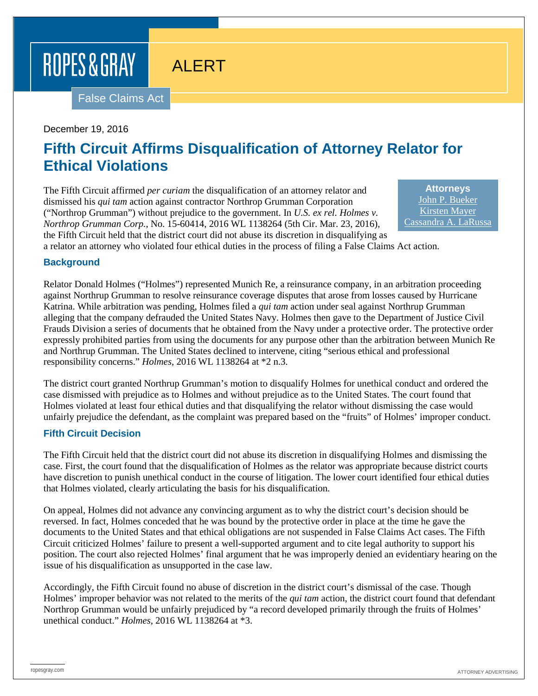# ROPES & GRAY

### ALERT

False Claims Act

#### December 19, 2016

### **Fifth Circuit Affirms Disqualification of Attorney Relator for Ethical Violations**

The Fifth Circuit affirmed *per curiam* the disqualification of an attorney relator and dismissed his *qui tam* action against contractor Northrop Grumman Corporation ("Northrop Grumman") without prejudice to the government. In *U.S. ex rel. Holmes v. Northrop Grumman Corp.*, No. 15-60414, 2016 WL 1138264 (5th Cir. Mar. 23, 2016), the Fifth Circuit held that the district court did not abuse its discretion in disqualifying as

**Attorneys** [John P. Bueker](https://www.ropesgray.com/biographies/b/john-p-bueker.aspx) [Kirsten Mayer](https://www.ropesgray.com/biographies/m/kirsten-mayer.aspx) [Cassandra A. LaRussa](https://www.ropesgray.com/biographies/l/cassandra-larussa.aspx)

a relator an attorney who violated four ethical duties in the process of filing a False Claims Act action.

#### **Background**

Relator Donald Holmes ("Holmes") represented Munich Re, a reinsurance company, in an arbitration proceeding against Northrup Grumman to resolve reinsurance coverage disputes that arose from losses caused by Hurricane Katrina. While arbitration was pending, Holmes filed a *qui tam* action under seal against Northrup Grumman alleging that the company defrauded the United States Navy. Holmes then gave to the Department of Justice Civil Frauds Division a series of documents that he obtained from the Navy under a protective order. The protective order expressly prohibited parties from using the documents for any purpose other than the arbitration between Munich Re and Northrup Grumman. The United States declined to intervene, citing "serious ethical and professional responsibility concerns." *Holmes*, 2016 WL 1138264 at \*2 n.3.

The district court granted Northrup Grumman's motion to disqualify Holmes for unethical conduct and ordered the case dismissed with prejudice as to Holmes and without prejudice as to the United States. The court found that Holmes violated at least four ethical duties and that disqualifying the relator without dismissing the case would unfairly prejudice the defendant, as the complaint was prepared based on the "fruits" of Holmes' improper conduct.

#### **Fifth Circuit Decision**

The Fifth Circuit held that the district court did not abuse its discretion in disqualifying Holmes and dismissing the case. First, the court found that the disqualification of Holmes as the relator was appropriate because district courts have discretion to punish unethical conduct in the course of litigation. The lower court identified four ethical duties that Holmes violated, clearly articulating the basis for his disqualification.

On appeal, Holmes did not advance any convincing argument as to why the district court's decision should be reversed. In fact, Holmes conceded that he was bound by the protective order in place at the time he gave the documents to the United States and that ethical obligations are not suspended in False Claims Act cases. The Fifth Circuit criticized Holmes' failure to present a well-supported argument and to cite legal authority to support his position. The court also rejected Holmes' final argument that he was improperly denied an evidentiary hearing on the issue of his disqualification as unsupported in the case law.

Accordingly, the Fifth Circuit found no abuse of discretion in the district court's dismissal of the case. Though Holmes' improper behavior was not related to the merits of the *qui tam* action, the district court found that defendant Northrop Grumman would be unfairly prejudiced by "a record developed primarily through the fruits of Holmes' unethical conduct." *Holmes*, 2016 WL 1138264 at \*3.